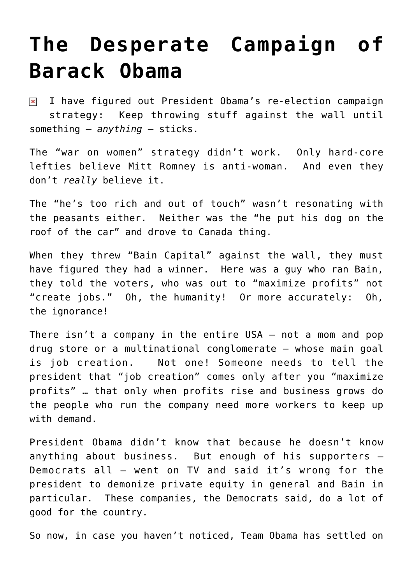### **[The Desperate Campaign of](https://bernardgoldberg.com/the-desperate-campaign-of-barack-obama/) [Barack Obama](https://bernardgoldberg.com/the-desperate-campaign-of-barack-obama/)**

I have figured out President Obama's re-election campaign  $\pmb{\times}$ strategy: Keep throwing stuff against the wall until something – *anything* — sticks.

The "war on women" strategy didn't work. Only hard-core lefties believe Mitt Romney is anti-woman. And even they don't *really* believe it.

The "he's too rich and out of touch" wasn't resonating with the peasants either. Neither was the "he put his dog on the roof of the car" and drove to Canada thing.

When they threw "Bain Capital" against the wall, they must have figured they had a winner. Here was a guy who ran Bain, they told the voters, who was out to "maximize profits" not "create jobs." Oh, the humanity! Or more accurately: Oh, the ignorance!

There isn't a company in the entire USA – not a mom and pop drug store or a multinational conglomerate – whose main goal is job creation. Not one! Someone needs to tell the president that "job creation" comes only after you "maximize profits" … that only when profits rise and business grows do the people who run the company need more workers to keep up with demand.

President Obama didn't know that because he doesn't know anything about business. But enough of his supporters – Democrats all – went on TV and said it's wrong for the president to demonize private equity in general and Bain in particular. These companies, the Democrats said, do a lot of good for the country.

So now, in case you haven't noticed, Team Obama has settled on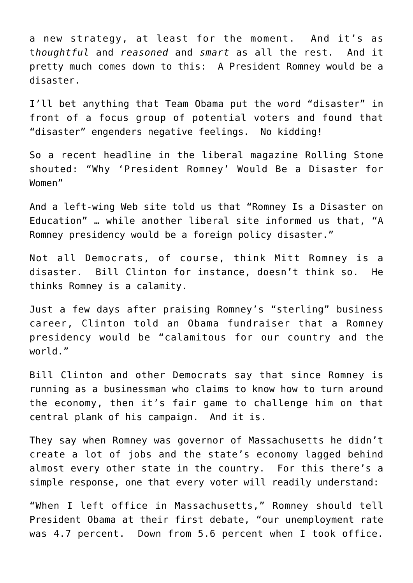a new strategy, at least for the moment. And it's as t*houghtful* and *reasoned* and *smart* as all the rest. And it pretty much comes down to this: A President Romney would be a disaster.

I'll bet anything that Team Obama put the word "disaster" in front of a focus group of potential voters and found that "disaster" engenders negative feelings. No kidding!

So a recent headline in the liberal magazine Rolling Stone shouted: "Why 'President Romney' Would Be a Disaster for Women"

And a left-wing Web site told us that "Romney Is a Disaster on Education" … while another liberal site informed us that, "A Romney presidency would be a foreign policy disaster."

Not all Democrats, of course, think Mitt Romney is a disaster. Bill Clinton for instance, doesn't think so. He thinks Romney is a calamity.

Just a few days after praising Romney's "sterling" business career, Clinton told an Obama fundraiser that a Romney presidency would be "calamitous for our country and the world."

Bill Clinton and other Democrats say that since Romney is running as a businessman who claims to know how to turn around the economy, then it's fair game to challenge him on that central plank of his campaign. And it is.

They say when Romney was governor of Massachusetts he didn't create a lot of jobs and the state's economy lagged behind almost every other state in the country. For this there's a simple response, one that every voter will readily understand:

"When I left office in Massachusetts," Romney should tell President Obama at their first debate, "our unemployment rate was 4.7 percent. Down from 5.6 percent when I took office.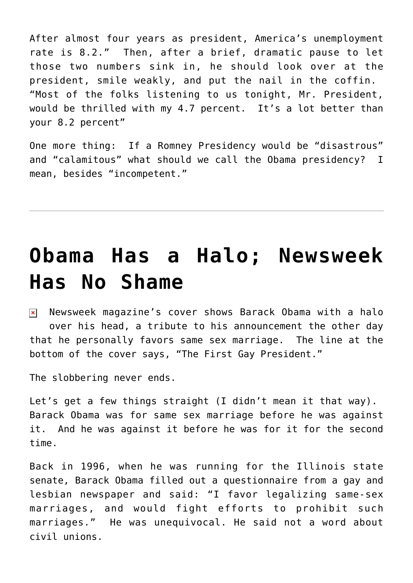After almost four years as president, America's unemployment rate is 8.2." Then, after a brief, dramatic pause to let those two numbers sink in, he should look over at the president, smile weakly, and put the nail in the coffin. "Most of the folks listening to us tonight, Mr. President, would be thrilled with my 4.7 percent. It's a lot better than your 8.2 percent"

One more thing: If a Romney Presidency would be "disastrous" and "calamitous" what should we call the Obama presidency? I mean, besides "incompetent."

### **[Obama Has a Halo; Newsweek](https://bernardgoldberg.com/obama-has-a-halo-newsweek-has-no-shame/) [Has No Shame](https://bernardgoldberg.com/obama-has-a-halo-newsweek-has-no-shame/)**

 $\overline{\mathbf{x}}$  Newsweek magazine's cover shows Barack Obama with a halo over his head, a tribute to his announcement the other day that he personally favors same sex marriage. The line at the bottom of the cover says, "The First Gay President."

The slobbering never ends.

Let's get a few things straight (I didn't mean it that way). Barack Obama was for same sex marriage before he was against it. And he was against it before he was for it for the second time.

Back in 1996, when he was running for the Illinois state senate, Barack Obama filled out a questionnaire from a gay and lesbian newspaper and said: "I favor legalizing same-sex marriages, and would fight efforts to prohibit such marriages." He was unequivocal. He said not a word about civil unions.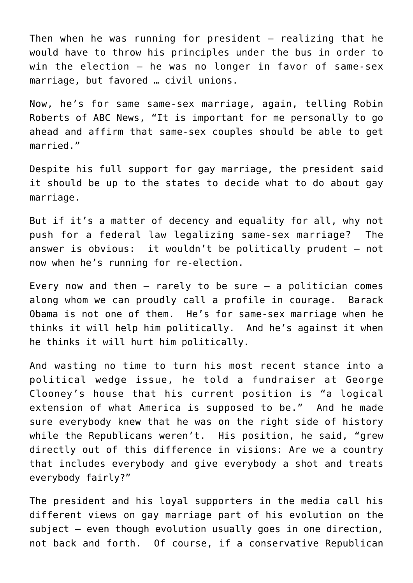Then when he was running for president – realizing that he would have to throw his principles under the bus in order to win the election — he was no longer in favor of same-sex marriage, but favored … civil unions.

Now, he's for same same-sex marriage, again, telling Robin Roberts of ABC News, "It is important for me personally to go ahead and affirm that same-sex couples should be able to get married."

Despite his full support for gay marriage, the president said it should be up to the states to decide what to do about gay marriage.

But if it's a matter of decency and equality for all, why not push for a federal law legalizing same-sex marriage? The answer is obvious: it wouldn't be politically prudent – not now when he's running for re-election.

Every now and then  $-$  rarely to be sure  $-$  a politician comes along whom we can proudly call a profile in courage. Barack Obama is not one of them. He's for same-sex marriage when he thinks it will help him politically. And he's against it when he thinks it will hurt him politically.

And wasting no time to turn his most recent stance into a political wedge issue, he told a fundraiser at George Clooney's house that his current position is "a logical extension of what America is supposed to be." And he made sure everybody knew that he was on the right side of history while the Republicans weren't. His position, he said, "grew directly out of this difference in visions: Are we a country that includes everybody and give everybody a shot and treats everybody fairly?"

The president and his loyal supporters in the media call his different views on gay marriage part of his evolution on the subject – even though evolution usually goes in one direction, not back and forth. Of course, if a conservative Republican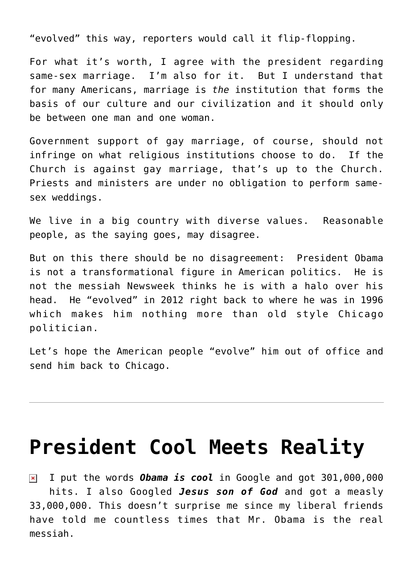"evolved" this way, reporters would call it flip-flopping.

For what it's worth, I agree with the president regarding same-sex marriage. I'm also for it. But I understand that for many Americans, marriage is *the* institution that forms the basis of our culture and our civilization and it should only be between one man and one woman.

Government support of gay marriage, of course, should not infringe on what religious institutions choose to do. If the Church is against gay marriage, that's up to the Church. Priests and ministers are under no obligation to perform samesex weddings.

We live in a big country with diverse values. Reasonable people, as the saying goes, may disagree.

But on this there should be no disagreement: President Obama is not a transformational figure in American politics. He is not the messiah Newsweek thinks he is with a halo over his head. He "evolved" in 2012 right back to where he was in 1996 which makes him nothing more than old style Chicago politician.

Let's hope the American people "evolve" him out of office and send him back to Chicago.

#### **[President Cool Meets Reality](https://bernardgoldberg.com/president-cool-meets-reality/)**

I put the words *Obama is cool* in Google and got 301,000,000  $\pmb{\times}$ hits. I also Googled *Jesus son of God* and got a measly 33,000,000. This doesn't surprise me since my liberal friends have told me countless times that Mr. Obama is the real messiah.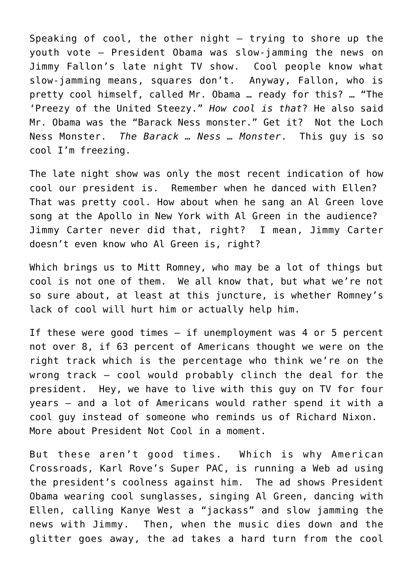Speaking of cool, the other night  $-$  trying to shore up the youth vote — President Obama was slow-jamming the news on Jimmy Fallon's late night TV show. Cool people know what slow-jamming means, squares don't. Anyway, Fallon, who is pretty cool himself, called Mr. Obama … ready for this? … "The 'Preezy of the United Steezy." *How cool is that*? He also said Mr. Obama was the "Barack Ness monster." Get it? Not the Loch Ness Monster. *The Barack … Ness … Monster*. This guy is so cool I'm freezing.

The late night show was only the most recent indication of how cool our president is. Remember when he danced with Ellen? That was pretty cool. How about when he sang an Al Green love song at the Apollo in New York with Al Green in the audience? Jimmy Carter never did that, right? I mean, Jimmy Carter doesn't even know who Al Green is, right?

Which brings us to Mitt Romney, who may be a lot of things but cool is not one of them. We all know that, but what we're not so sure about, at least at this juncture, is whether Romney's lack of cool will hurt him or actually help him.

If these were good times  $-$  if unemployment was 4 or 5 percent not over 8, if 63 percent of Americans thought we were on the right track which is the percentage who think we're on the wrong track — cool would probably clinch the deal for the president. Hey, we have to live with this guy on TV for four years – and a lot of Americans would rather spend it with a cool guy instead of someone who reminds us of Richard Nixon. More about President Not Cool in a moment.

But these aren't good times. Which is why American Crossroads, Karl Rove's Super PAC, is running a Web ad using the president's coolness against him. The ad shows President Obama wearing cool sunglasses, singing Al Green, dancing with Ellen, calling Kanye West a "jackass" and slow jamming the news with Jimmy. Then, when the music dies down and the glitter goes away, the ad takes a hard turn from the cool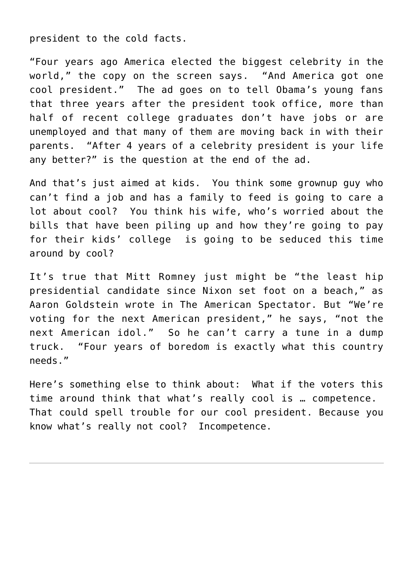president to the cold facts.

"Four years ago America elected the biggest celebrity in the world," the copy on the screen says. "And America got one cool president." The ad goes on to tell Obama's young fans that three years after the president took office, more than half of recent college graduates don't have jobs or are unemployed and that many of them are moving back in with their parents. "After 4 years of a celebrity president is your life any better?" is the question at the end of the ad.

And that's just aimed at kids. You think some grownup guy who can't find a job and has a family to feed is going to care a lot about cool? You think his wife, who's worried about the bills that have been piling up and how they're going to pay for their kids' college is going to be seduced this time around by cool?

It's true that Mitt Romney just might be "the least hip presidential candidate since Nixon set foot on a beach," as Aaron Goldstein wrote in The American Spectator. But "We're voting for the next American president," he says, "not the next American idol." So he can't carry a tune in a dump truck. "Four years of boredom is exactly what this country needs."

Here's something else to think about: What if the voters this time around think that what's really cool is … competence. That could spell trouble for our cool president. Because you know what's really not cool? Incompetence.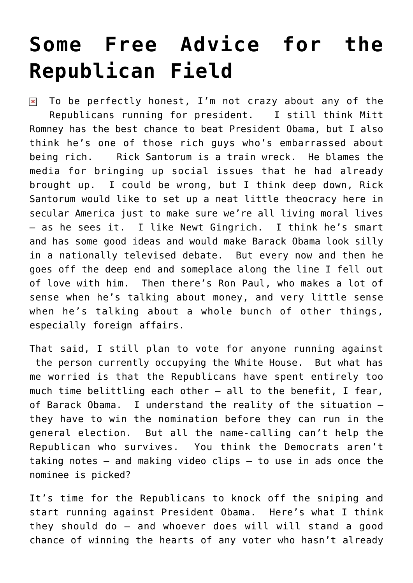# **[Some Free Advice for the](https://bernardgoldberg.com/some-free-advice-for-the-republican-field/) [Republican Field](https://bernardgoldberg.com/some-free-advice-for-the-republican-field/)**

To be perfectly honest, I'm not crazy about any of the  $\pmb{\times}$ Republicans running for president. I still think Mitt Romney has the best chance to beat President Obama, but I also think he's one of those rich guys who's embarrassed about being rich. Rick Santorum is a train wreck. He blames the media for bringing up social issues that he had already brought up. I could be wrong, but I think deep down, Rick Santorum would like to set up a neat little theocracy here in secular America just to make sure we're all living moral lives – as he sees it. I like Newt Gingrich. I think he's smart and has some good ideas and would make Barack Obama look silly in a nationally televised debate. But every now and then he goes off the deep end and someplace along the line I fell out of love with him. Then there's Ron Paul, who makes a lot of sense when he's talking about money, and very little sense when he's talking about a whole bunch of other things, especially foreign affairs.

That said, I still plan to vote for anyone running against the person currently occupying the White House. But what has me worried is that the Republicans have spent entirely too much time belittling each other – all to the benefit, I fear, of Barack Obama. I understand the reality of the situation – they have to win the nomination before they can run in the general election. But all the name-calling can't help the Republican who survives. You think the Democrats aren't taking notes – and making video clips – to use in ads once the nominee is picked?

It's time for the Republicans to knock off the sniping and start running against President Obama. Here's what I think they should do — and whoever does will will stand a good chance of winning the hearts of any voter who hasn't already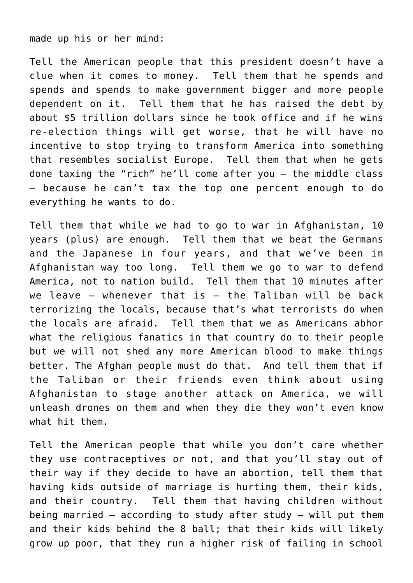made up his or her mind:

Tell the American people that this president doesn't have a clue when it comes to money. Tell them that he spends and spends and spends to make government bigger and more people dependent on it. Tell them that he has raised the debt by about \$5 trillion dollars since he took office and if he wins re-election things will get worse, that he will have no incentive to stop trying to transform America into something that resembles socialist Europe. Tell them that when he gets done taxing the "rich" he'll come after you – the middle class – because he can't tax the top one percent enough to do everything he wants to do.

Tell them that while we had to go to war in Afghanistan, 10 years (plus) are enough. Tell them that we beat the Germans and the Japanese in four years, and that we've been in Afghanistan way too long. Tell them we go to war to defend America, not to nation build. Tell them that 10 minutes after we leave  $-$  whenever that is  $-$  the Taliban will be back terrorizing the locals, because that's what terrorists do when the locals are afraid. Tell them that we as Americans abhor what the religious fanatics in that country do to their people but we will not shed any more American blood to make things better. The Afghan people must do that. And tell them that if the Taliban or their friends even think about using Afghanistan to stage another attack on America, we will unleash drones on them and when they die they won't even know what hit them.

Tell the American people that while you don't care whether they use contraceptives or not, and that you'll stay out of their way if they decide to have an abortion, tell them that having kids outside of marriage is hurting them, their kids, and their country. Tell them that having children without being married – according to study after study – will put them and their kids behind the 8 ball; that their kids will likely grow up poor, that they run a higher risk of failing in school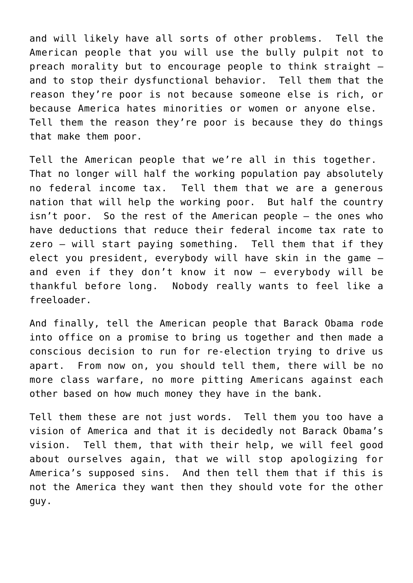and will likely have all sorts of other problems. Tell the American people that you will use the bully pulpit not to preach morality but to encourage people to think straight – and to stop their dysfunctional behavior. Tell them that the reason they're poor is not because someone else is rich, or because America hates minorities or women or anyone else. Tell them the reason they're poor is because they do things that make them poor.

Tell the American people that we're all in this together. That no longer will half the working population pay absolutely no federal income tax. Tell them that we are a generous nation that will help the working poor. But half the country isn't poor. So the rest of the American people – the ones who have deductions that reduce their federal income tax rate to zero – will start paying something. Tell them that if they elect you president, everybody will have skin in the game – and even if they don't know it now – everybody will be thankful before long. Nobody really wants to feel like a freeloader.

And finally, tell the American people that Barack Obama rode into office on a promise to bring us together and then made a conscious decision to run for re-election trying to drive us apart. From now on, you should tell them, there will be no more class warfare, no more pitting Americans against each other based on how much money they have in the bank.

Tell them these are not just words. Tell them you too have a vision of America and that it is decidedly not Barack Obama's vision. Tell them, that with their help, we will feel good about ourselves again, that we will stop apologizing for America's supposed sins. And then tell them that if this is not the America they want then they should vote for the other guy.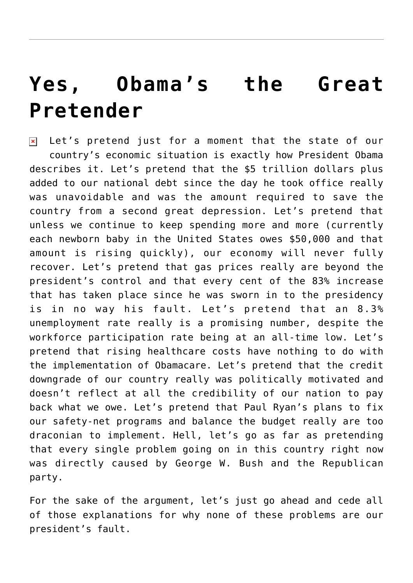# **[Yes, Obama's the Great](https://bernardgoldberg.com/yes-obamas-the-great-pretender/) [Pretender](https://bernardgoldberg.com/yes-obamas-the-great-pretender/)**

 $\overline{z}$  Let's pretend just for a moment that the state of our country's economic situation is exactly how President Obama describes it. Let's pretend that the \$5 trillion dollars plus added to our national debt since the day he took office really was unavoidable and was the amount required to save the country from a second great depression. Let's pretend that unless we continue to keep spending more and more (currently each newborn baby in the United States owes \$50,000 and that amount is rising quickly), our economy will never fully recover. Let's pretend that gas prices really are beyond the president's control and that every cent of the 83% increase that has taken place since he was sworn in to the presidency is in no way his fault. Let's pretend that an 8.3% unemployment rate really is a promising number, despite the workforce participation rate being at an all-time low. Let's pretend that rising healthcare costs have nothing to do with the implementation of Obamacare. Let's pretend that the credit downgrade of our country really was politically motivated and doesn't reflect at all the credibility of our nation to pay back what we owe. Let's pretend that Paul Ryan's plans to fix our safety-net programs and balance the budget really are too draconian to implement. Hell, let's go as far as pretending that every single problem going on in this country right now was directly caused by George W. Bush and the Republican party.

For the sake of the argument, let's just go ahead and cede all of those explanations for why none of these problems are our president's fault.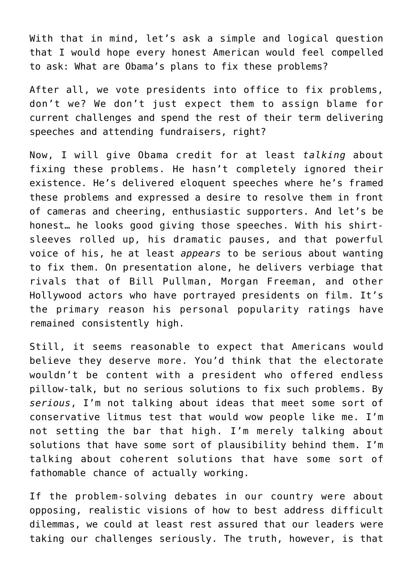With that in mind, let's ask a simple and logical question that I would hope every honest American would feel compelled to ask: What are Obama's plans to fix these problems?

After all, we vote presidents into office to fix problems, don't we? We don't just expect them to assign blame for current challenges and spend the rest of their term delivering speeches and attending fundraisers, right?

Now, I will give Obama credit for at least *talking* about fixing these problems. He hasn't completely ignored their existence. He's delivered eloquent speeches where he's framed these problems and expressed a desire to resolve them in front of cameras and cheering, enthusiastic supporters. And let's be honest… he looks good giving those speeches. With his shirtsleeves rolled up, his dramatic pauses, and that powerful voice of his, he at least *appears* to be serious about wanting to fix them. On presentation alone, he delivers verbiage that rivals that of Bill Pullman, Morgan Freeman, and other Hollywood actors who have portrayed presidents on film. It's the primary reason his personal popularity ratings have remained consistently high.

Still, it seems reasonable to expect that Americans would believe they deserve more. You'd think that the electorate wouldn't be content with a president who offered endless pillow-talk, but no serious solutions to fix such problems. By *serious*, I'm not talking about ideas that meet some sort of conservative litmus test that would wow people like me. I'm not setting the bar that high. I'm merely talking about solutions that have some sort of plausibility behind them. I'm talking about coherent solutions that have some sort of fathomable chance of actually working.

If the problem-solving debates in our country were about opposing, realistic visions of how to best address difficult dilemmas, we could at least rest assured that our leaders were taking our challenges seriously. The truth, however, is that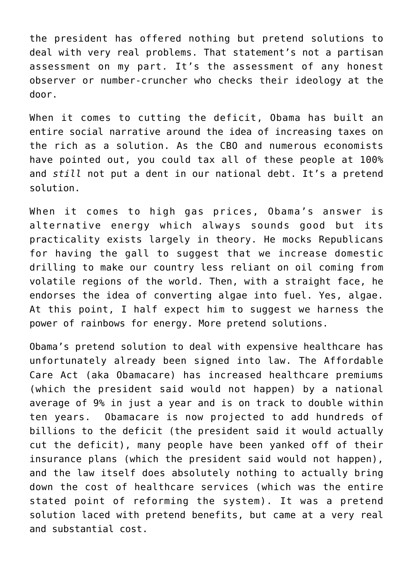the president has offered nothing but pretend solutions to deal with very real problems. That statement's not a partisan assessment on my part. It's the assessment of any honest observer or number-cruncher who checks their ideology at the door.

When it comes to cutting the deficit, Obama has built an entire social narrative around the idea of increasing taxes on the rich as a solution. As the CBO and numerous economists have pointed out, you could tax all of these people at 100% and *still* not put a dent in our national debt. It's a pretend solution.

When it comes to high gas prices, Obama's answer is alternative energy which always sounds good but its practicality exists largely in theory. He mocks Republicans for having the gall to suggest that we increase domestic drilling to make our country less reliant on oil coming from volatile regions of the world. Then, with a straight face, he endorses the idea of converting algae into fuel. Yes, algae. At this point, I half expect him to suggest we harness the power of rainbows for energy. More pretend solutions.

Obama's pretend solution to deal with expensive healthcare has unfortunately already been signed into law. The Affordable Care Act (aka Obamacare) has increased healthcare premiums (which the president said would not happen) by a national average of 9% in just a year and is on track to double within ten years. Obamacare is now projected to add hundreds of billions to the deficit (the president said it would actually cut the deficit), many people have been yanked off of their insurance plans (which the president said would not happen), and the law itself does absolutely nothing to actually bring down the cost of healthcare services (which was the entire stated point of reforming the system). It was a pretend solution laced with pretend benefits, but came at a very real and substantial cost.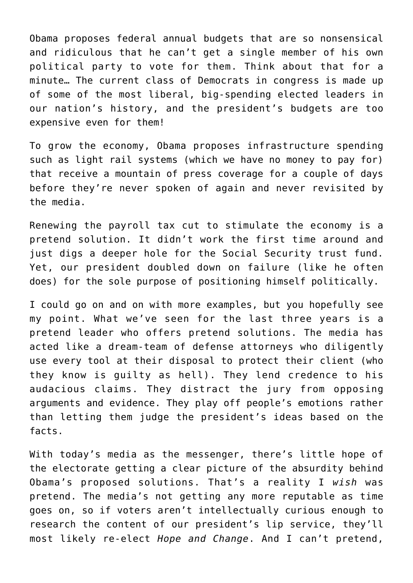Obama proposes federal annual budgets that are so nonsensical and ridiculous that he can't get a single member of his own political party to vote for them. Think about that for a minute… The current class of Democrats in congress is made up of some of the most liberal, big-spending elected leaders in our nation's history, and the president's budgets are too expensive even for them!

To grow the economy, Obama proposes infrastructure spending such as light rail systems (which we have no money to pay for) that receive a mountain of press coverage for a couple of days before they're never spoken of again and never revisited by the media.

Renewing the payroll tax cut to stimulate the economy is a pretend solution. It didn't work the first time around and just digs a deeper hole for the Social Security trust fund. Yet, our president doubled down on failure (like he often does) for the sole purpose of positioning himself politically.

I could go on and on with more examples, but you hopefully see my point. What we've seen for the last three years is a pretend leader who offers pretend solutions. The media has acted like a dream-team of defense attorneys who diligently use every tool at their disposal to protect their client (who they know is guilty as hell). They lend credence to his audacious claims. They distract the jury from opposing arguments and evidence. They play off people's emotions rather than letting them judge the president's ideas based on the facts.

With today's media as the messenger, there's little hope of the electorate getting a clear picture of the absurdity behind Obama's proposed solutions. That's a reality I *wish* was pretend. The media's not getting any more reputable as time goes on, so if voters aren't intellectually curious enough to research the content of our president's lip service, they'll most likely re-elect *Hope and Change*. And I can't pretend,